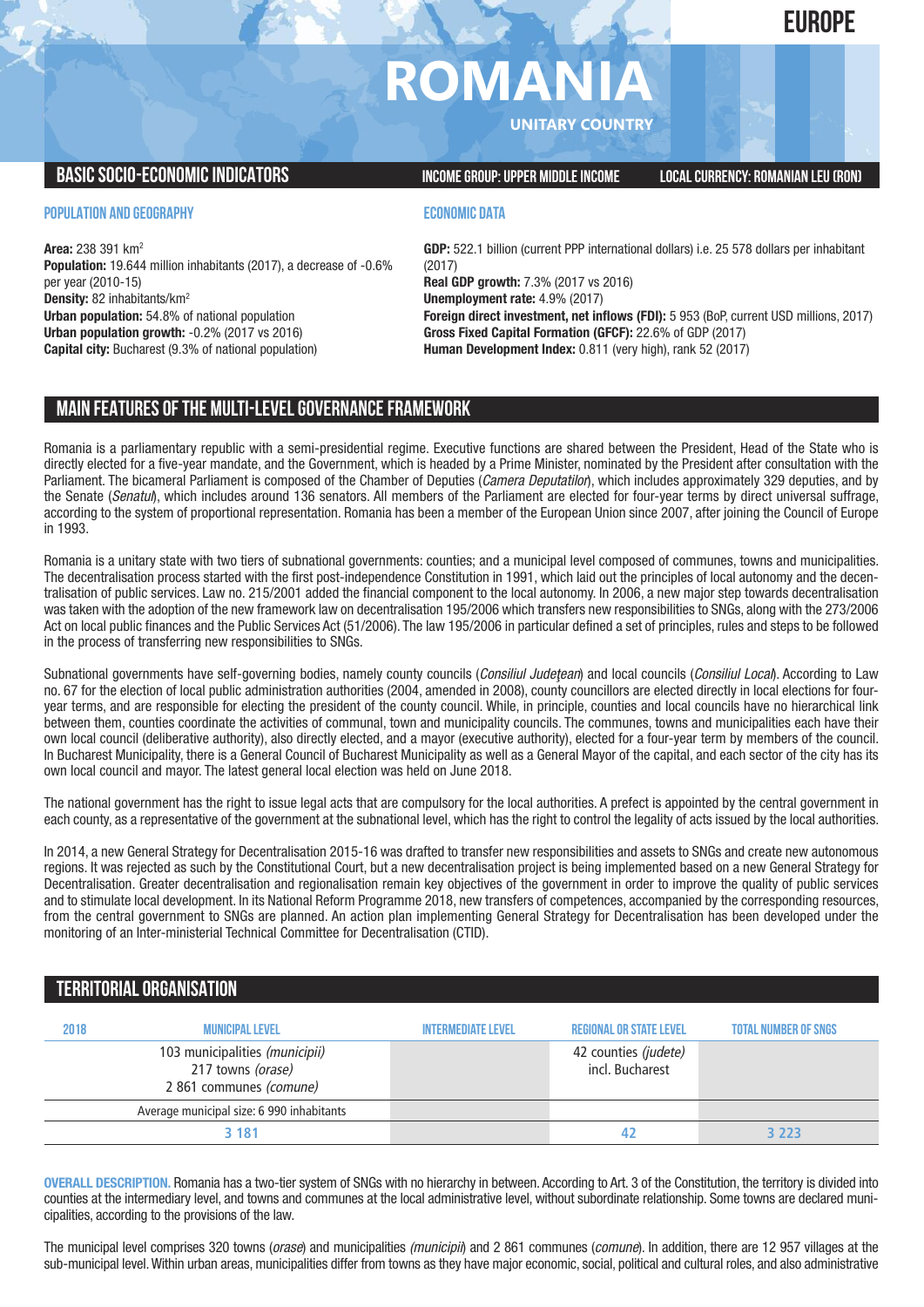# **ROMANI**

**UNITARY COUNTRY**

**BASICSOCIO-ECONOMICINDICATORS INCOMEGROUP:UPPER MIDDLEINCOME LOCALCURRENCY: ROMANIAN LEU(RON)**

**POPULATION AND GEOGRAPHY**

**Area:** 238 391 km2 **Population:** 19.644 million inhabitants (2017), a decrease of -0.6% per year (2010-15) **Density:** 82 inhabitants/km2 **Urban population:** 54.8% of national population **Urban population growth:** -0.2% (2017 vs 2016) **Capital city:** Bucharest (9.3% of national population)

## **ECONOMIC DATA**

**GDP:** 522.1 billion (current PPP international dollars) i.e. 25 578 dollars per inhabitant (2017)

**Real GDP growth:** 7.3% (2017 vs 2016) **Unemployment rate:** 4.9% (2017)

**Foreign direct investment, net inflows (FDI):** 5 953 (BoP, current USD millions, 2017) **Gross Fixed Capital Formation (GFCF):** 22.6% of GDP (2017) **Human Development Index:** 0.811 (very high), rank 52 (2017)

# **MAIN FEATURESOFTHE MULTI-LEVELGOVERNANCEFRAMEWORK**

Romania is a parliamentary republic with a semi-presidential regime. Executive functions are shared between the President, Head of the State who is directly elected for a five-year mandate, and the Government, which is headed by a Prime Minister, nominated by the President after consultation with the Parliament. The bicameral Parliament is composed of the Chamber of Deputies (*Camera Deputatilor*), which includes approximately 329 deputies, and by the Senate (*Senatul*), which includes around 136 senators. All members of the Parliament are elected for four-year terms by direct universal suffrage, according to the system of proportional representation. Romania has been a member of the European Union since 2007, after joining the Council of Europe in 1993.

Romania is a unitary state with two tiers of subnational governments: counties; and a municipal level composed of communes, towns and municipalities. The decentralisation process started with the first post-independence Constitution in 1991, which laid out the principles of local autonomy and the decentralisation of public services. Law no. 215/2001 added the financial component to the local autonomy. In 2006, a new major step towards decentralisation was taken with the adoption of the new framework law on decentralisation 195/2006 which transfers new responsibilities to SNGs, along with the 273/2006 Act on local public finances and the Public Services Act (51/2006). The law 195/2006 in particular defined a set of principles, rules and steps to be followed in the process of transferring new responsibilities to SNGs.

Subnational governments have self-governing bodies, namely county councils (*Consiliul Judeţean*) and local councils (*Consiliul Local*). According to Law no. 67 for the election of local public administration authorities (2004, amended in 2008), county councillors are elected directly in local elections for fouryear terms, and are responsible for electing the president of the county council. While, in principle, counties and local councils have no hierarchical link between them, counties coordinate the activities of communal, town and municipality councils. The communes, towns and municipalities each have their own local council (deliberative authority), also directly elected, and a mayor (executive authority), elected for a four-year term by members of the council. In Bucharest Municipality, there is a General Council of Bucharest Municipality as well as a General Mayor of the capital, and each sector of the city has its own local council and mayor. The latest general local election was held on June 2018.

The national government has the right to issue legal acts that are compulsory for the local authorities. A prefect is appointed by the central government in each county, as a representative of the government at the subnational level, which has the right to control the legality of acts issued by the local authorities.

In 2014, a new General Strategy for Decentralisation 2015-16 was drafted to transfer new responsibilities and assets to SNGs and create new autonomous regions. It was rejected as such by the Constitutional Court, but a new decentralisation project is being implemented based on a new General Strategy for Decentralisation. Greater decentralisation and regionalisation remain key objectives of the government in order to improve the quality of public services and to stimulate local development. In its National Reform Programme 2018, new transfers of competences, accompanied by the corresponding resources, from the central government to SNGs are planned. An action plan implementing General Strategy for Decentralisation has been developed under the monitoring of an Inter-ministerial Technical Committee for Decentralisation (CTID).

# **TERRITORIALORGANISATION**

| 2018 | <b>MUNICIPAL LEVEL</b>                                                         | <b>INTERMEDIATE LEVEL</b> | <b>REGIONAL OR STATE LEVEL</b>          | <b>TOTAL NUMBER OF SNGS</b> |
|------|--------------------------------------------------------------------------------|---------------------------|-----------------------------------------|-----------------------------|
|      | 103 municipalities (municipii)<br>217 towns (orase)<br>2 861 communes (comune) |                           | 42 counties (judete)<br>incl. Bucharest |                             |
|      | Average municipal size: 6 990 inhabitants                                      |                           |                                         |                             |
|      | 3 181                                                                          |                           |                                         | 3223                        |

**OVERALL DESCRIPTION.** Romania has a two-tier system of SNGs with no hierarchy in between. According to Art. 3 of the Constitution, the territory is divided into counties at the intermediary level, and towns and communes at the local administrative level, without subordinate relationship. Some towns are declared municipalities, according to the provisions of the law.

The municipal level comprises 320 towns (*orase*) and municipalities *(municipii*) and 2 861 communes (*comune*). In addition, there are 12 957 villages at the sub-municipal level.Within urban areas, municipalities differ from towns as they have major economic, social, political and cultural roles, and also administrative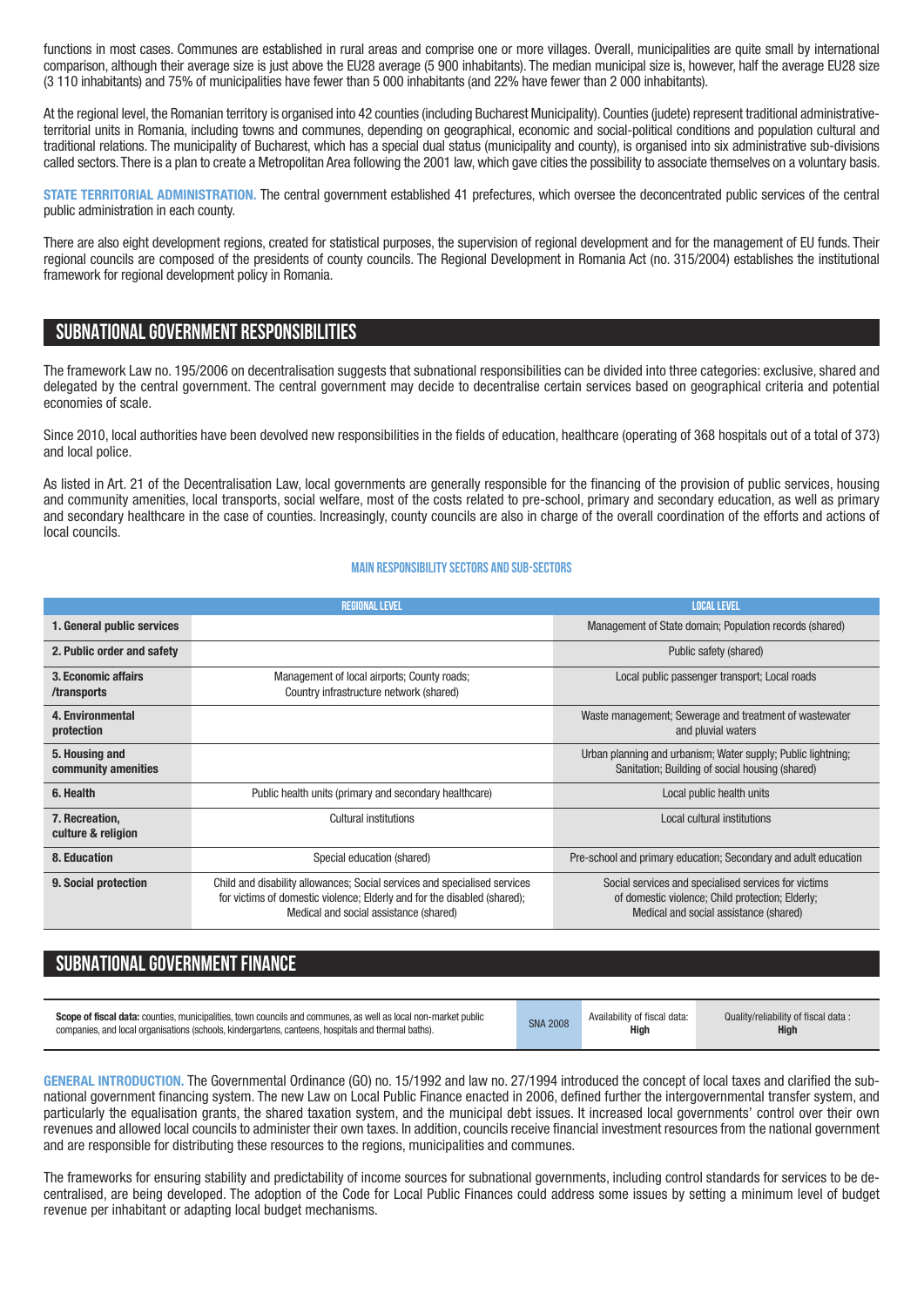functions in most cases. Communes are established in rural areas and comprise one or more villages. Overall, municipalities are quite small by international comparison, although their average size is just above the EU28 average (5 900 inhabitants). The median municipal size is, however, half the average EU28 size (3 110 inhabitants) and 75% of municipalities have fewer than 5 000 inhabitants (and 22% have fewer than 2 000 inhabitants).

At the regional level, the Romanian territory is organised into 42 counties (including Bucharest Municipality). Counties (judete) represent traditional administrativeterritorial units in Romania, including towns and communes, depending on geographical, economic and social-political conditions and population cultural and traditional relations. The municipality of Bucharest, which has a special dual status (municipality and county), is organised into six administrative sub-divisions called sectors. There is a plan to create a Metropolitan Area following the 2001 law,which gave cities the possibility to associate themselves on a voluntary basis.

**STATE TERRITORIAL ADMINISTRATION.** The central government established 41 prefectures, which oversee the deconcentrated public services of the central public administration in each county.

There are also eight development regions, created for statistical purposes, the supervision of regional development and for the management of EU funds. Their regional councils are composed of the presidents of county councils. The Regional Development in Romania Act (no. 315/2004) establishes the institutional framework for regional development policy in Romania.

# **SUBNATIONALGOVERNMENT RESPONSIBILITIES**

The framework Law no. 195/2006 on decentralisation suggests that subnational responsibilities can be divided into three categories: exclusive, shared and delegated by the central government. The central government may decide to decentralise certain services based on geographical criteria and potential economies of scale.

Since 2010, local authorities have been devolved new responsibilities in the fields of education, healthcare (operating of 368 hospitals out of a total of 373) and local police.

As listed in Art. 21 of the Decentralisation Law, local governments are generally responsible for the financing of the provision of public services, housing and community amenities, local transports, social welfare, most of the costs related to pre-school, primary and secondary education, as well as primary and secondary healthcare in the case of counties. Increasingly, county councils are also in charge of the overall coordination of the efforts and actions of local councils.

#### **Main responsibilitysectors and sub-sectors**

|                                       | <b>REGIONAL LEVEL</b>                                                                                                                                                                           | <b>LOCAL LEVEL</b>                                                                                                                                 |  |  |
|---------------------------------------|-------------------------------------------------------------------------------------------------------------------------------------------------------------------------------------------------|----------------------------------------------------------------------------------------------------------------------------------------------------|--|--|
| 1. General public services            |                                                                                                                                                                                                 | Management of State domain; Population records (shared)                                                                                            |  |  |
| 2. Public order and safety            |                                                                                                                                                                                                 | Public safety (shared)                                                                                                                             |  |  |
| 3. Economic affairs<br>/transports    | Management of local airports; County roads;<br>Country infrastructure network (shared)                                                                                                          | Local public passenger transport; Local roads                                                                                                      |  |  |
| 4. Environmental<br>protection        |                                                                                                                                                                                                 | Waste management; Sewerage and treatment of wastewater<br>and pluvial waters                                                                       |  |  |
| 5. Housing and<br>community amenities |                                                                                                                                                                                                 | Urban planning and urbanism; Water supply; Public lightning;<br>Sanitation; Building of social housing (shared)                                    |  |  |
| 6. Health                             | Public health units (primary and secondary healthcare)                                                                                                                                          | Local public health units                                                                                                                          |  |  |
| 7. Recreation,<br>culture & religion  | Cultural institutions                                                                                                                                                                           | Local cultural institutions                                                                                                                        |  |  |
| 8. Education                          | Special education (shared)                                                                                                                                                                      | Pre-school and primary education; Secondary and adult education                                                                                    |  |  |
| 9. Social protection                  | Child and disability allowances; Social services and specialised services<br>for victims of domestic violence; Elderly and for the disabled (shared);<br>Medical and social assistance (shared) | Social services and specialised services for victims<br>of domestic violence; Child protection; Elderly;<br>Medical and social assistance (shared) |  |  |

# **SUBNATIONAL GOVERNMENT FINANCE**

| <b>Scope of fiscal data:</b> counties, municipalities, town councils and communes, as well as local non-market public | <b>SNA 2008</b> | Availability of fiscal data: | Quality/reliability of fiscal data: |
|-----------------------------------------------------------------------------------------------------------------------|-----------------|------------------------------|-------------------------------------|
| companies, and local organisations (schools, kindergartens, canteens, hospitals and thermal baths).                   |                 | <b>High</b>                  | <b>High</b>                         |
|                                                                                                                       |                 |                              |                                     |

**GENERAL INTRODUCTION.** The Governmental Ordinance (GO) no. 15/1992 and law no. 27/1994 introduced the concept of local taxes and clarified the subnational government financing system. The new Law on Local Public Finance enacted in 2006, defined further the intergovernmental transfer system, and particularly the equalisation grants, the shared taxation system, and the municipal debt issues. It increased local governments' control over their own revenues and allowed local councils to administer their own taxes. In addition, councils receive financial investment resources from the national government and are responsible for distributing these resources to the regions, municipalities and communes.

The frameworks for ensuring stability and predictability of income sources for subnational governments, including control standards for services to be decentralised, are being developed. The adoption of the Code for Local Public Finances could address some issues by setting a minimum level of budget revenue per inhabitant or adapting local budget mechanisms.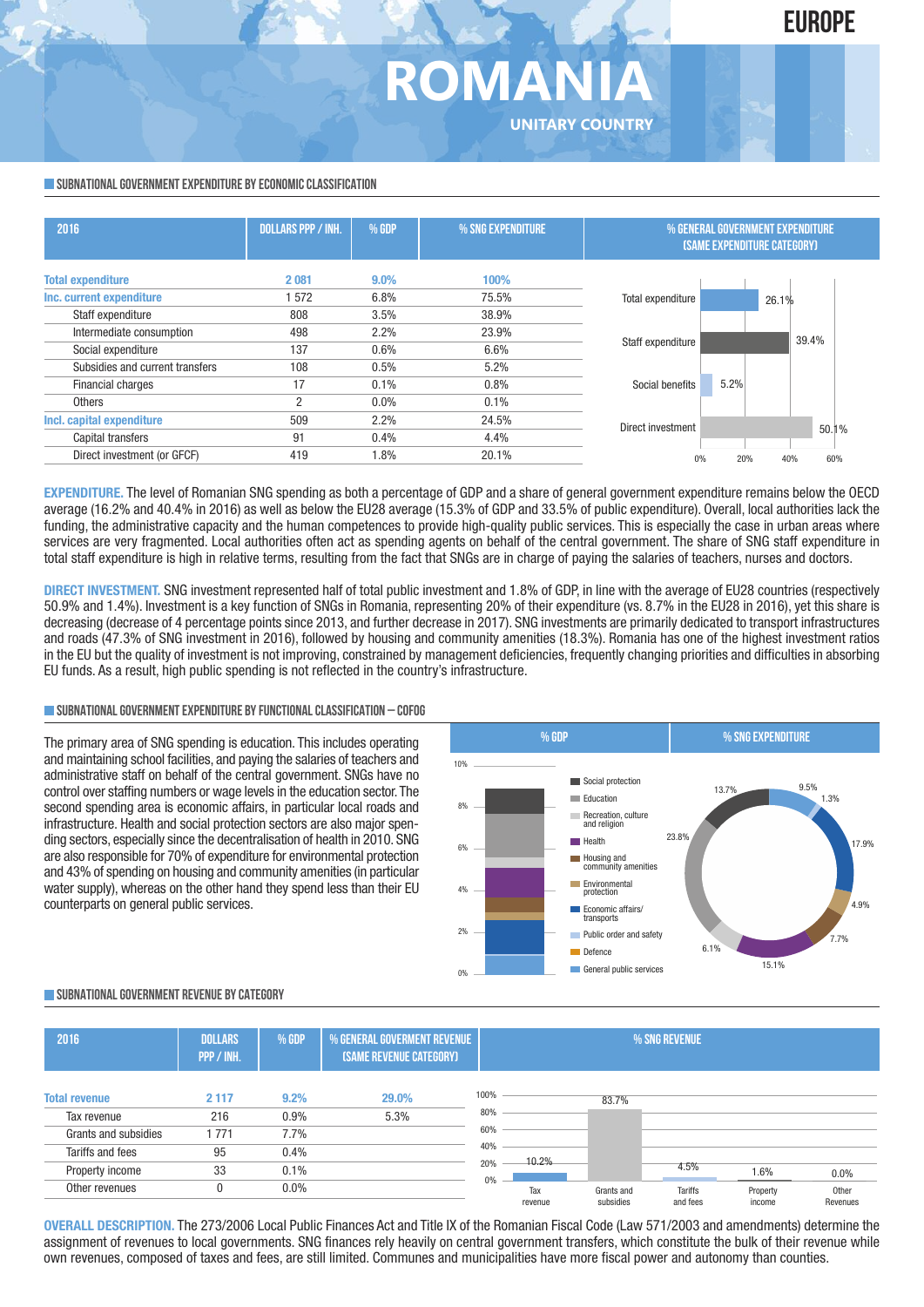# **ROMANI UNITARY COUNTRY**

#### **SUBNATIONAL GOVERNMENT EXPENDITURE BY ECONOMIC CLASSIFICATION**

| 2016                            | <b>DOLLARS PPP / INH.</b> | $%$ GDP | % SNG EXPENDITURE | % GENERAL GOVERNMENT EXPENDITURE<br><b>(SAME EXPENDITURE CATEGORY)</b> |  |  |  |
|---------------------------------|---------------------------|---------|-------------------|------------------------------------------------------------------------|--|--|--|
| <b>Total expenditure</b>        | 2081                      | $9.0\%$ | 100%              |                                                                        |  |  |  |
| Inc. current expenditure        | 572                       | 6.8%    | 75.5%             | Total expenditure<br>26.1%                                             |  |  |  |
| Staff expenditure               | 808                       | 3.5%    | 38.9%             |                                                                        |  |  |  |
| Intermediate consumption        | 498                       | 2.2%    | 23.9%             | 39.4%                                                                  |  |  |  |
| Social expenditure              | 137                       | 0.6%    | 6.6%              | Staff expenditure                                                      |  |  |  |
| Subsidies and current transfers | 108                       | 0.5%    | 5.2%              |                                                                        |  |  |  |
| Financial charges               | 17                        | 0.1%    | 0.8%              | 5.2%<br>Social benefits                                                |  |  |  |
| <b>Others</b>                   | $\overline{2}$            | $0.0\%$ | 0.1%              |                                                                        |  |  |  |
| Incl. capital expenditure       | 509                       | 2.2%    | 24.5%             | Direct investment                                                      |  |  |  |
| Capital transfers               | 91                        | 0.4%    | 4.4%              | 50.1%                                                                  |  |  |  |
| Direct investment (or GFCF)     | 419                       | 1.8%    | 20.1%             | 60%<br>0%<br>20%<br>40%                                                |  |  |  |
|                                 |                           |         |                   |                                                                        |  |  |  |

**EXPENDITURE.** The level of Romanian SNG spending as both a percentage of GDP and a share of general government expenditure remains below the OECD average (16.2% and 40.4% in 2016) as well as below the EU28 average (15.3% of GDP and 33.5% of public expenditure). Overall, local authorities lack the funding, the administrative capacity and the human competences to provide high-quality public services. This is especially the case in urban areas where services are very fragmented. Local authorities often act as spending agents on behalf of the central government. The share of SNG staff expenditure in total staff expenditure is high in relative terms, resulting from the fact that SNGs are in charge of paying the salaries of teachers, nurses and doctors.

**DIRECT INVESTMENT.** SNG investment represented half of total public investment and 1.8% of GDP, in line with the average of EU28 countries (respectively 50.9% and 1.4%). Investment is a key function of SNGs in Romania, representing 20% of their expenditure (vs. 8.7% in the EU28 in 2016), yet this share is decreasing (decrease of 4 percentage points since 2013, and further decrease in 2017). SNG investments are primarily dedicated to transport infrastructures and roads (47.3% of SNG investment in 2016), followed by housing and community amenities (18.3%). Romania has one of the highest investment ratios in the EU but the quality of investment is not improving, constrained by management deficiencies, frequently changing priorities and difficulties in absorbing EU funds. As a result, high public spending is not reflected in the country's infrastructure.

#### **SUBNATIONALGOVERNMENTEXPENDITURE BYFUNCTIONALCLASSIFICATION – COFOG**

The primary area of SNG spending is education. This includes operating and maintaining school facilities, and paying the salaries of teachers and administrative staff on behalf of the central government. SNGs have no control over staffing numbers or wage levels in the education sector.The second spending area is economic affairs, in particular local roads and infrastructure. Health and social protection sectors are also major spending sectors, especially since the decentralisation of health in 2010. SNG are also responsible for 70% of expenditure for environmental protection and 43% of spending on housing and community amenities (in particular water supply), whereas on the other hand they spend less than their EU counterparts on general public services.



### **SUBNATIONALGOVERNMENT REVENUE BYCATEGORY**

| 2016                                     | <b>DOLLARS</b><br>PPP / INH. | % GDP        | % GENERAL GOVERMENT REVENUE<br><b>(SAME REVENUE CATEGORY)</b> |             | % SNG REVENUE  |                         |                            |                    |                   |
|------------------------------------------|------------------------------|--------------|---------------------------------------------------------------|-------------|----------------|-------------------------|----------------------------|--------------------|-------------------|
| <b>Total revenue</b><br>Tax revenue      | 2 1 1 7<br>216               | 9.2%<br>0.9% | 29.0%<br>5.3%                                                 | 100%<br>80% |                | 83.7%                   |                            |                    |                   |
| Grants and subsidies<br>Tariffs and fees | 1771<br>95                   | 7.7%<br>0.4% |                                                               | 60%<br>40%  |                |                         |                            |                    |                   |
| Property income                          | 33                           | 0.1%         |                                                               | 20%<br>0%   | 10.2%          |                         | 4.5%                       | 1.6%               | 0.0%              |
| Other revenues                           |                              | $0.0\%$      |                                                               |             | Tax<br>revenue | Grants and<br>subsidies | <b>Tariffs</b><br>and fees | Property<br>income | Other<br>Revenues |

**OVERALL DESCRIPTION.** The 273/2006 Local Public Finances Act and Title IX of the Romanian Fiscal Code (Law 571/2003 and amendments) determine the assignment of revenues to local governments. SNG finances rely heavily on central government transfers, which constitute the bulk of their revenue while own revenues, composed of taxes and fees, are still limited. Communes and municipalities have more fiscal power and autonomy than counties.